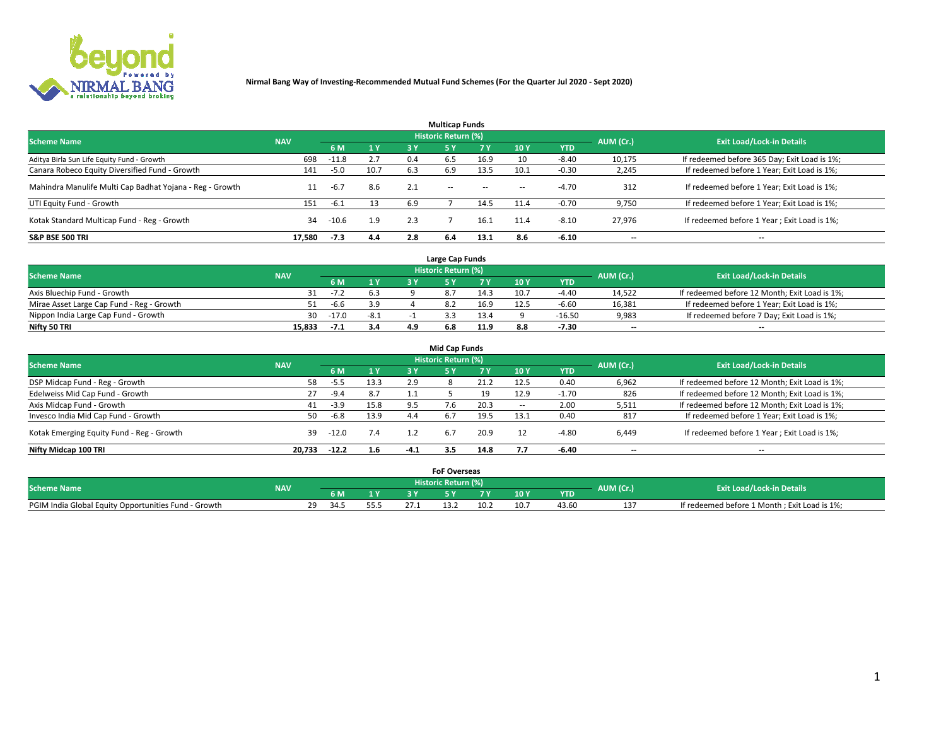

|                                                          |            |         |           |     | <b>Multicap Funds</b> |           |                          |            |           |                                              |
|----------------------------------------------------------|------------|---------|-----------|-----|-----------------------|-----------|--------------------------|------------|-----------|----------------------------------------------|
| <b>Scheme Name</b>                                       | <b>NAV</b> |         |           |     | Historic Return (%)   |           |                          |            | AUM (Cr.) | <b>Exit Load/Lock-in Details</b>             |
|                                                          |            | 6 M     | <b>1Y</b> | 3 Y | <b>5Y</b>             | <b>7Y</b> | 10Y                      | <b>YTD</b> |           |                                              |
| Aditya Birla Sun Life Equity Fund - Growth               | 698        | $-11.8$ | 2.7       | 0.4 | 6.5                   | 16.9      | 10                       | $-8.40$    | 10,175    | If redeemed before 365 Day; Exit Load is 1%; |
| Canara Robeco Equity Diversified Fund - Growth           | 141        | $-5.0$  | 10.7      | 6.3 | 6.9                   | 13.5      | 10.1                     | -0.30      | 2,245     | If redeemed before 1 Year; Exit Load is 1%;  |
| Mahindra Manulife Multi Cap Badhat Yojana - Reg - Growth | 11         | $-6.7$  | 8.6       |     | $\sim$ $-$            | $\sim$    | $\overline{\phantom{a}}$ | $-4.70$    | 312       | If redeemed before 1 Year; Exit Load is 1%;  |
| UTI Equity Fund - Growth                                 | 151        | -6.1    | 13        | 6.9 |                       | 14.5      | 11.4                     | $-0.70$    | 9,750     | If redeemed before 1 Year; Exit Load is 1%;  |
| Kotak Standard Multicap Fund - Reg - Growth              | 34         | $-10.6$ | 1.9       | 2.3 |                       | 16.1      | 11.4                     | $-8.10$    | 27.976    | If redeemed before 1 Year; Exit Load is 1%;  |
| <b>S&amp;P BSE 500 TRI</b>                               | 17.580     | $-7.3$  | 4.4       | 2.8 | 6.4                   | 13.1      | 8.6                      | $-6.10$    | --        | $- -$                                        |

|                                           |            |         |                |     | Large Cap Funds     |      |      |            |                          |                                               |
|-------------------------------------------|------------|---------|----------------|-----|---------------------|------|------|------------|--------------------------|-----------------------------------------------|
| <b>Scheme Name</b>                        | <b>NAV</b> |         |                |     | Historic Return (%) |      |      |            | AUM (Cr.)                | <b>Exit Load/Lock-in Details</b>              |
|                                           |            | 6 M     | 4 <sub>Y</sub> |     |                     |      | 10 Y | <b>YTD</b> |                          |                                               |
| Axis Bluechip Fund - Growth               |            | $-7.2$  | 6.3            |     |                     | 14.3 | 10.7 | $-4.40$    | 14,522                   | If redeemed before 12 Month; Exit Load is 1%; |
| Mirae Asset Large Cap Fund - Reg - Growth |            | $-6.6$  | 3.9            |     |                     | 16.9 | 12.5 | $-6.60$    | 16,381                   | If redeemed before 1 Year; Exit Load is 1%;   |
| Nippon India Large Cap Fund - Growth      | 30         | $-17.0$ | $-8.1$         |     |                     | 13.4 |      | $-16.50$   | 9,983                    | If redeemed before 7 Day; Exit Load is 1%;    |
| Nifty 50 TRI                              | 15.833     |         | 3.4            | 4.9 |                     | 11.9 |      | $-7.30$    | $\overline{\phantom{a}}$ | $\overline{\phantom{a}}$                      |

| <b>Mid Cap Funds</b>                      |            |         |      |        |                            |      |            |            |                          |                                               |  |  |  |
|-------------------------------------------|------------|---------|------|--------|----------------------------|------|------------|------------|--------------------------|-----------------------------------------------|--|--|--|
| <b>Scheme Name</b>                        | <b>NAV</b> |         |      |        | <b>Historic Return (%)</b> |      |            |            | AUM (Cr.)                | <b>Exit Load/Lock-in Details</b>              |  |  |  |
|                                           |            | 6 M     | 1 Y  | 3 Y    |                            | 7 V  | <b>10Y</b> | <b>YTD</b> |                          |                                               |  |  |  |
| DSP Midcap Fund - Reg - Growth            | 58         | -5.5    | 13.3 | 2.9    |                            | 21.2 | 12.5       | 0.40       | 6,962                    | If redeemed before 12 Month; Exit Load is 1%; |  |  |  |
| Edelweiss Mid Cap Fund - Growth           | 27         | $-9.4$  | 8.7  |        |                            | 19   | 12.9       | $-1.70$    | 826                      | If redeemed before 12 Month; Exit Load is 1%; |  |  |  |
| Axis Midcap Fund - Growth                 | 41         | $-3.9$  | 15.8 | 9.5    |                            | 20.3 | -          | 2.00       | 5,511                    | If redeemed before 12 Month; Exit Load is 1%; |  |  |  |
| Invesco India Mid Cap Fund - Growth       | 50         | $-6.8$  | 13.9 | 4.4    | 6.7                        | 19.5 | 13.1       | 0.40       | 817                      | If redeemed before 1 Year; Exit Load is 1%;   |  |  |  |
| Kotak Emerging Equity Fund - Reg - Growth | 39         | -12.0   | 7.4  |        | 6.7                        | 20.9 |            | $-4.80$    | 6,449                    | If redeemed before 1 Year; Exit Load is 1%;   |  |  |  |
| Nifty Midcap 100 TRI                      | 20.733     | $-12.2$ | 1.6  | $-4.1$ | 3.5                        | 14.8 | 7.7        | $-6.40$    | $\overline{\phantom{a}}$ | $\overline{\phantom{a}}$                      |  |  |  |

|                                                      |            |            |     | <b>FoF Overseas</b>        |      |     |            |           |                                              |
|------------------------------------------------------|------------|------------|-----|----------------------------|------|-----|------------|-----------|----------------------------------------------|
| <b>Scheme Name</b>                                   | <b>NAV</b> |            |     | <b>Historic Return (%)</b> |      |     |            | AUM (Cr.) | <b>Exit Load/Lock-in Details</b>             |
|                                                      |            | 6 M        |     |                            |      | 10Y | <b>YTD</b> |           |                                              |
| PGIM India Global Equity Opportunities Fund - Growth |            | າດ<br>34.5 | 55. |                            | 10.2 | 10. | 43.60      |           | If redeemed before 1 Month; Exit Load is 1%; |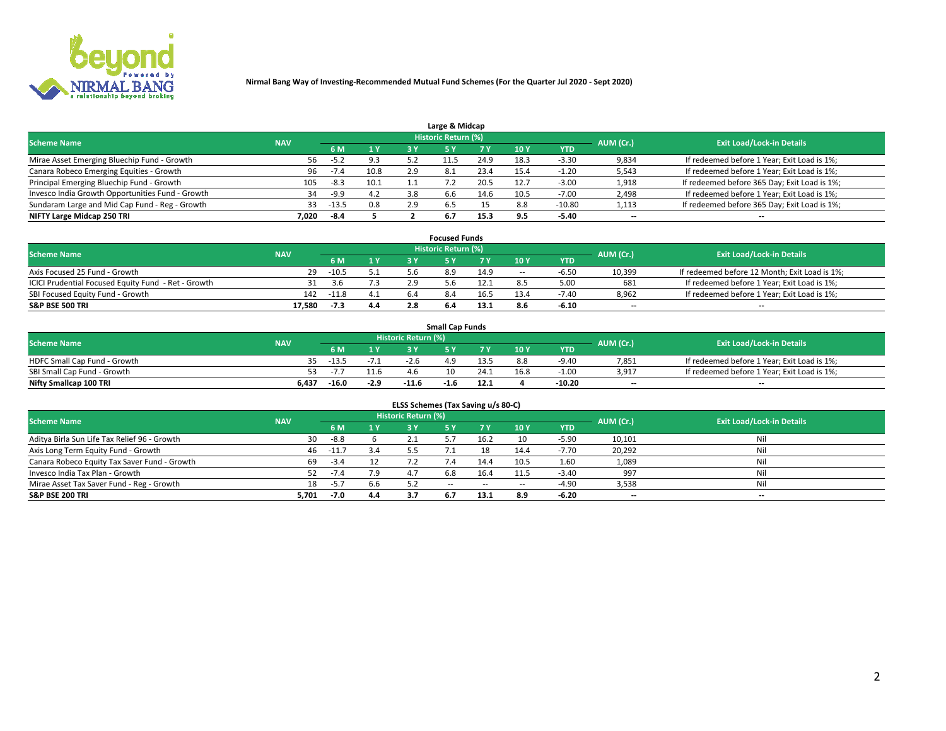

| Large & Midcap                                   |            |         |      |     |                            |      |      |          |                          |                                              |  |  |  |
|--------------------------------------------------|------------|---------|------|-----|----------------------------|------|------|----------|--------------------------|----------------------------------------------|--|--|--|
| <b>Scheme Name</b>                               | <b>NAV</b> |         |      |     | <b>Historic Return (%)</b> |      |      |          | AUM (Cr.)                | <b>Exit Load/Lock-in Details</b>             |  |  |  |
|                                                  |            | 6 M     | 1Y   | 3 Y |                            | 7 V  | 10Y  | YTD      |                          |                                              |  |  |  |
| Mirae Asset Emerging Bluechip Fund - Growth      | 56         | $-5.2$  | 9.3  |     |                            | 24.9 | 18.3 | $-3.30$  | 9,834                    | If redeemed before 1 Year; Exit Load is 1%;  |  |  |  |
| Canara Robeco Emerging Equities - Growth         | 96         |         | 10.8 | 2.9 | 8.1                        | 23.4 | 15.4 | 1.20     | 5,543                    | If redeemed before 1 Year; Exit Load is 1%;  |  |  |  |
| Principal Emerging Bluechip Fund - Growth        | 105        | $-8.3$  | 10.1 |     |                            | 20.5 | 12.7 | $-3.00$  | 1,918                    | If redeemed before 365 Day; Exit Load is 1%; |  |  |  |
| Invesco India Growth Opportunities Fund - Growth | 34         | $-9.9$  | 4.2  | 3.8 | 6.b                        | 14.b | 10.5 | $-7.00$  | 2,498                    | If redeemed before 1 Year; Exit Load is 1%;  |  |  |  |
| Sundaram Large and Mid Cap Fund - Reg - Growth   | 33         | $-13.5$ | 0.8  | 2.9 | 6.5                        |      | 8.8  | $-10.80$ | 1,113                    | If redeemed before 365 Day; Exit Load is 1%; |  |  |  |
| NIFTY Large Midcap 250 TRI                       | 7.020      | -8.4    |      |     |                            | 15.3 |      | $-5.40$  | $\overline{\phantom{a}}$ | $- -$                                        |  |  |  |

|                                                     |            |         |     |     | <b>Focused Funds</b> |      |       |            |           |                                               |
|-----------------------------------------------------|------------|---------|-----|-----|----------------------|------|-------|------------|-----------|-----------------------------------------------|
| <b>Scheme Name</b>                                  | <b>NAV</b> |         |     |     | Historic Return (%)  |      |       |            | AUM (Cr.) | <b>Exit Load/Lock-in Details</b>              |
|                                                     |            | 6 M     | 1 Y |     |                      | 7 V  | 10Y   | <b>YTD</b> |           |                                               |
| Axis Focused 25 Fund - Growth                       | 29         | $-10.5$ | 5.1 |     | 8.9                  | 14.9 | $\!-$ | $-6.5o$    | 10,399    | If redeemed before 12 Month; Exit Load is 1%; |
| ICICI Prudential Focused Equity Fund - Ret - Growth |            | 3.6     | 7.3 |     |                      | 12.1 |       | 5.00       | 681       | If redeemed before 1 Year; Exit Load is 1%;   |
| SBI Focused Equity Fund - Growth                    | 142        | -11.8   | 4.1 | 6.4 |                      | 16.5 | 13.4  | -7.40      | 8,962     | If redeemed before 1 Year; Exit Load is 1%;   |
| <b>S&amp;P BSE 500 TRI</b>                          | 17.580     | -7.3    | 4.4 |     |                      | 13.1 | 8.6   | $-6.10$    | --        | $- -$                                         |

| <b>Small Cap Funds</b>       |            |         |        |                            |      |      |      |            |           |                                             |  |  |
|------------------------------|------------|---------|--------|----------------------------|------|------|------|------------|-----------|---------------------------------------------|--|--|
| <b>Scheme Name</b>           | <b>NAV</b> |         |        | <b>Historic Return (%)</b> |      |      |      |            | AUM (Cr.) | <b>Exit Load/Lock-in Details</b>            |  |  |
|                              |            | 6 M     | 1 Y    |                            |      |      | 10 Y | <b>YTD</b> |           |                                             |  |  |
| HDFC Small Cap Fund - Growth |            | $-13.5$ | $-7.1$ | -2.b                       |      | 13.5 | 8.8  | $-9.40$    | 7,851     | If redeemed before 1 Year; Exit Load is 1%; |  |  |
| SBI Small Cap Fund - Growth  |            | $-1$ .  |        | 4 h                        |      |      | 16.8 | $-1.00$    | 3.917     | If redeemed before 1 Year; Exit Load is 1%; |  |  |
| Nifty Smallcap 100 TRI       | 6.437      | $-16.0$ | $-2.9$ | $-11.6$                    | -1.0 | 12.1 |      | $-10.20$   | $- -$     | $- -$                                       |  |  |

| ELSS Schemes (Tax Saving u/s 80-C)           |            |         |     |                            |            |        |        |            |           |                                  |  |  |  |  |
|----------------------------------------------|------------|---------|-----|----------------------------|------------|--------|--------|------------|-----------|----------------------------------|--|--|--|--|
| <b>Scheme Name</b>                           | <b>NAV</b> |         |     | <b>Historic Return (%)</b> |            |        |        |            | AUM (Cr.) | <b>Exit Load/Lock-in Details</b> |  |  |  |  |
|                                              |            | 6 M     |     |                            | 5 Y        | 7 Y    | 10Y    | <b>YTD</b> |           |                                  |  |  |  |  |
| Aditya Birla Sun Life Tax Relief 96 - Growth | 30         | $-8.8$  |     | 2.1                        |            | 16.2   | 10     | $-5.90$    | 10,101    | Nil                              |  |  |  |  |
| Axis Long Term Equity Fund - Growth          | 46         | $-11.7$ | 3.4 |                            |            |        | 14.4   | $-7.70$    | 20,292    | Nil                              |  |  |  |  |
| Canara Robeco Equity Tax Saver Fund - Growth | 69         | $-3.4$  | 12  |                            | $\sqrt{4}$ | 14.4   | 10.5   | 1.60       | 1,089     | Nil                              |  |  |  |  |
| Invesco India Tax Plan - Growth              |            | $-7.4$  | 7.9 | 4.7                        | 6.8        | 16.4   | 11.5   | $-3.40$    | 997       | Nil                              |  |  |  |  |
| Mirae Asset Tax Saver Fund - Reg - Growth    | 18         | $-5.7$  | 6.6 | 5.2                        | $\sim$ $-$ | $\sim$ | $\sim$ | $-4.90$    | 3,538     | Nil                              |  |  |  |  |
| S&P BSE 200 TRI                              | 5,701      | $-7.0$  | 4.4 |                            | 6.7        | 13.1   | 8.9    | $-6.20$    | --        | $- -$                            |  |  |  |  |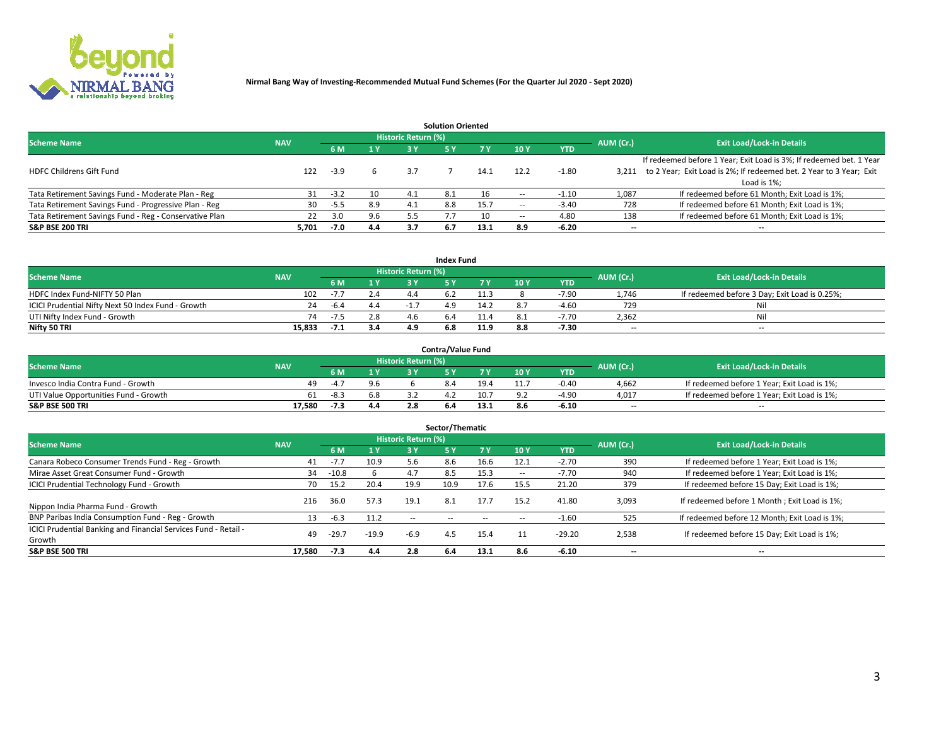

|                                                        |            |            |     |                            | <b>Solution Oriented</b> |      |                          |            |                          |                                                                     |
|--------------------------------------------------------|------------|------------|-----|----------------------------|--------------------------|------|--------------------------|------------|--------------------------|---------------------------------------------------------------------|
| <b>Scheme Name</b>                                     | <b>NAV</b> |            |     | <b>Historic Return (%)</b> |                          |      |                          |            | AUM (Cr.)                | <b>Exit Load/Lock-in Details</b>                                    |
|                                                        |            | <b>6 M</b> | 1 Y | 3 Y                        |                          |      | 10Y                      | <b>YTD</b> |                          |                                                                     |
|                                                        |            |            |     |                            |                          |      |                          |            |                          | If redeemed before 1 Year; Exit Load is 3%; If redeemed bet. 1 Year |
| <b>HDFC Childrens Gift Fund</b>                        | 122        | $-3.9$     |     | 3.7                        |                          | 14.1 | 12.2                     | $-1.80$    | 3.211                    | to 2 Year; Exit Load is 2%; If redeemed bet. 2 Year to 3 Year; Exit |
|                                                        |            |            |     |                            |                          |      |                          |            |                          | Load is 1%;                                                         |
| Tata Retirement Savings Fund - Moderate Plan - Reg     | 31         | $-3.2$     | 10  | 4.1                        | -8.1                     | 16   |                          | $-1.10$    | 1,087                    | If redeemed before 61 Month; Exit Load is 1%;                       |
| Tata Retirement Savings Fund - Progressive Plan - Reg  | 30         | -5.5       | 8.9 | -4.1                       | 8.8                      | 15.7 | $\overline{\phantom{a}}$ | $-3.40$    | 728                      | If redeemed before 61 Month; Exit Load is 1%;                       |
| Tata Retirement Savings Fund - Reg - Conservative Plan | 22         | 3.0        | 9.6 | 5.5                        |                          | 10   | --                       | 4.80       | 138                      | If redeemed before 61 Month; Exit Load is 1%;                       |
| S&P BSE 200 TRI                                        | 5,701      | $-7.0$     | 4.4 | 3.7                        | 6.7                      | 13.1 | 8.9                      | $-6.20$    | $\overline{\phantom{a}}$ | $- -$                                                               |

|                                                    |            |        |              |                            | <b>Index Fund</b> |      |      |            |                          |                                               |
|----------------------------------------------------|------------|--------|--------------|----------------------------|-------------------|------|------|------------|--------------------------|-----------------------------------------------|
| <b>Scheme Name</b>                                 | <b>NAV</b> |        |              | <b>Historic Return (%)</b> |                   |      |      |            | AUM (Cr.)                | <b>Exit Load/Lock-in Details</b>              |
|                                                    |            |        | $\sqrt{1}$ Y | 2 V                        |                   | 7 V  | 10 Y | <b>YTD</b> |                          |                                               |
| HDFC Index Fund-NIFTY 50 Plan                      | 102        | $-1.1$ | 2.4          |                            |                   |      |      | $-7.90$    | 1.746                    | If redeemed before 3 Day; Exit Load is 0.25%; |
| ICICI Prudential Nifty Next 50 Index Fund - Growth | 24         | -6.4   | 4.4          |                            |                   |      |      | -4.60      | 729                      | Nil                                           |
| UTI Nifty Index Fund - Growth                      | 74         | $-7.5$ | 2.8          |                            |                   |      |      | 7.70       | 2,362                    | Nil                                           |
| Nifty 50 TRI                                       | 15.833     | $-I.$  | 3.4          |                            | 6.8               | 11.9 | 8.8  | $-7.30$    | $\overline{\phantom{a}}$ | $- -$                                         |

|                                       |            |        |     |                            | <b>Contra/Value Fund</b> |      |     |            |                          |                                             |
|---------------------------------------|------------|--------|-----|----------------------------|--------------------------|------|-----|------------|--------------------------|---------------------------------------------|
| <b>Scheme Name</b>                    | <b>NAV</b> |        |     | <b>Historic Return (%)</b> |                          |      |     |            | AUM (Cr.)                | <b>Exit Load/Lock-in Details</b>            |
|                                       |            |        | 1 V |                            |                          | 7 V  | 10Y | <b>YTD</b> |                          |                                             |
| Invesco India Contra Fund - Growth    | 49.        | $-4$ – | 9.6 |                            |                          | 19.4 |     | $-0.40$    | 4,662                    | If redeemed before 1 Year; Exit Load is 1%; |
| UTI Value Opportunities Fund - Growth | 61         | $-8.3$ | 6.8 |                            |                          | 10.7 |     | -4.90      | 4,017                    | If redeemed before 1 Year; Exit Load is 1%; |
| <b>S&amp;P BSE 500 TRI</b>            | 17.580     | -7.3   | 4.4 |                            |                          |      |     | $-6.10$    | $\overline{\phantom{a}}$ | $- -$                                       |

|                                                                           |            |         |         |                     | Sector/Thematic |        |                          |            |           |                                               |
|---------------------------------------------------------------------------|------------|---------|---------|---------------------|-----------------|--------|--------------------------|------------|-----------|-----------------------------------------------|
| <b>Scheme Name</b>                                                        | <b>NAV</b> |         |         | Historic Return (%) |                 |        |                          |            | AUM (Cr.) | <b>Exit Load/Lock-in Details</b>              |
|                                                                           |            | 6 M     | 1Y      | 3 Y                 | <b>5Y</b>       | 7 Y    | 10Y                      | <b>YTD</b> |           |                                               |
| Canara Robeco Consumer Trends Fund - Reg - Growth                         | 41         | $-7.7$  | 10.9    | 5.6                 | 8.6             | 16.6   | 12.1                     | $-2.70$    | 390       | If redeemed before 1 Year; Exit Load is 1%;   |
| Mirae Asset Great Consumer Fund - Growth                                  | 34         | $-10.8$ |         | 4.7                 | 8.5             | 15.3   | $\overline{\phantom{a}}$ | -7.70      | 940       | If redeemed before 1 Year; Exit Load is 1%;   |
| <b>ICICI Prudential Technology Fund - Growth</b>                          | 70         | 15.2    | 20.4    | 19.9                | 10.9            | 17.6   | 15.5                     | 21.20      | 379       | If redeemed before 15 Day; Exit Load is 1%;   |
| Nippon India Pharma Fund - Growth                                         | 216        | 36.0    | 57.3    | 19.1                | 8.1             | 17.7   | 15.2                     | 41.80      | 3,093     | If redeemed before 1 Month; Exit Load is 1%;  |
| BNP Paribas India Consumption Fund - Reg - Growth                         | 13         | $-6.3$  | 11.2    | $\sim$ $-$          | $\sim$ $-$      | $\sim$ | $\sim$                   | $-1.60$    | 525       | If redeemed before 12 Month; Exit Load is 1%; |
| ICICI Prudential Banking and Financial Services Fund - Retail -<br>Growth | 49         | $-29.7$ | $-19.9$ | $-6.9$              | 4.5             | 15.4   | 11                       | $-29.20$   | 2,538     | If redeemed before 15 Day; Exit Load is 1%;   |
| <b>S&amp;P BSE 500 TRI</b>                                                | 17.580     | $-7.3$  | 4.4     | 2.8                 | 6.4             | 13.1   | 8.6                      | $-6.10$    | --        | $- -$                                         |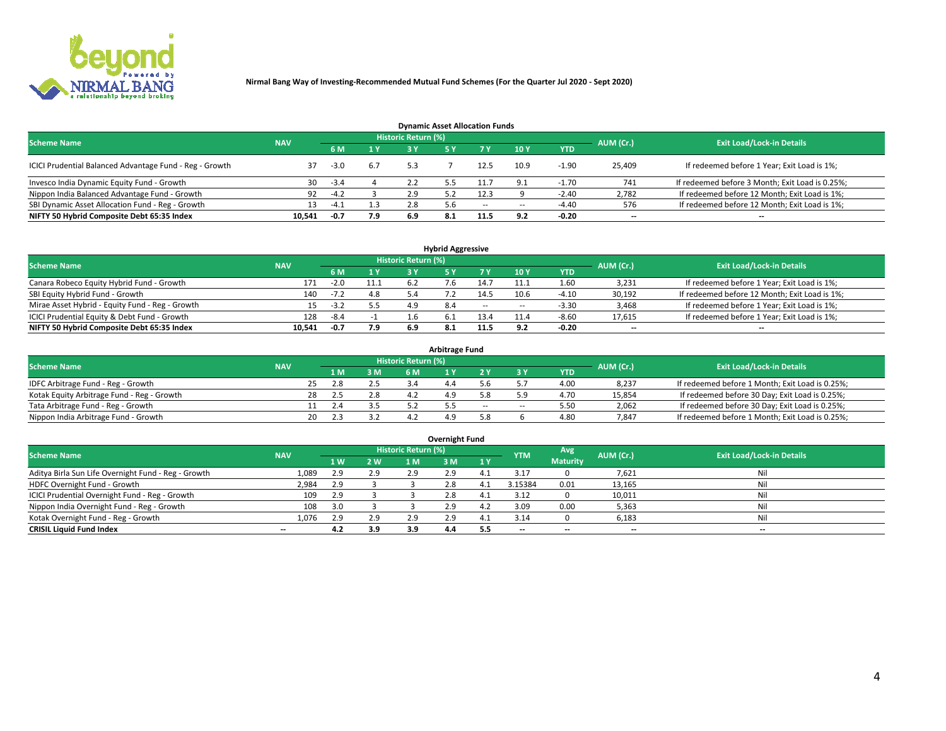

| <b>Dynamic Asset Allocation Funds</b>                   |            |        |     |                            |     |        |            |            |                          |                                                 |  |  |  |  |
|---------------------------------------------------------|------------|--------|-----|----------------------------|-----|--------|------------|------------|--------------------------|-------------------------------------------------|--|--|--|--|
| <b>Scheme Name</b>                                      | <b>NAV</b> |        |     | <b>Historic Return (%)</b> |     |        |            |            | AUM (Cr.)                | <b>Exit Load/Lock-in Details</b>                |  |  |  |  |
|                                                         |            | 6 M    | 1 Y | 3 Y                        |     |        | 10Y        | <b>YTD</b> |                          |                                                 |  |  |  |  |
| ICICI Prudential Balanced Advantage Fund - Reg - Growth | 37         | $-3.0$ | 6.7 |                            |     | 12.5   | 10.9       | -1.90      | 25,409                   | If redeemed before 1 Year; Exit Load is 1%;     |  |  |  |  |
| Invesco India Dynamic Equity Fund - Growth              | 30         | -3.4   |     | 2.2                        |     |        | <b>Q</b> 1 | -1.70      | 741                      | If redeemed before 3 Month; Exit Load is 0.25%; |  |  |  |  |
| Nippon India Balanced Advantage Fund - Growth           | 92         | $-4.2$ |     | 2.9                        |     | 12.3   |            | $-2.40$    | 2,782                    | If redeemed before 12 Month; Exit Load is 1%;   |  |  |  |  |
| SBI Dynamic Asset Allocation Fund - Reg - Growth        |            | $-4.1$ | 1.3 | 2.8                        |     | $\sim$ | --         | $-4.40$    | 576                      | If redeemed before 12 Month; Exit Load is 1%;   |  |  |  |  |
| NIFTY 50 Hybrid Composite Debt 65:35 Index              | 10,541     | $-0.7$ | 7.9 | 6.9                        | 8.1 | 11.5   | 9.2        | $-0.20$    | $\overline{\phantom{a}}$ | $- -$                                           |  |  |  |  |

| <b>Hybrid Aggressive</b>                        |                                                |        |     |      |  |        |                          |            |        |                                               |  |  |  |  |  |
|-------------------------------------------------|------------------------------------------------|--------|-----|------|--|--------|--------------------------|------------|--------|-----------------------------------------------|--|--|--|--|--|
| <b>Scheme Name</b>                              | Historic Return (%)<br>AUM (Cr.)<br><b>NAV</b> |        |     |      |  |        |                          |            |        |                                               |  |  |  |  |  |
|                                                 |                                                | 6 M    | 1 Y | RУ   |  |        | 10Y                      | <b>YTD</b> |        | <b>Exit Load/Lock-in Details</b>              |  |  |  |  |  |
| Canara Robeco Equity Hybrid Fund - Growth       | 171                                            | $-2.0$ |     |      |  | 14.7   | 11.1                     | 1.60       | 3,231  | If redeemed before 1 Year; Exit Load is 1%;   |  |  |  |  |  |
| SBI Equity Hybrid Fund - Growth                 | 140                                            | $-L2$  | 4.8 |      |  | 14.5   | 10.6                     | $-4.10$    | 30,192 | If redeemed before 12 Month; Exit Load is 1%; |  |  |  |  |  |
| Mirae Asset Hybrid - Equity Fund - Reg - Growth |                                                | $-3.2$ | 5.5 |      |  | $\sim$ | $\overline{\phantom{a}}$ | $-3.30$    | 3,468  | If redeemed before 1 Year; Exit Load is 1%;   |  |  |  |  |  |
| ICICI Prudential Equity & Debt Fund - Growth    | 128                                            | -8.4   |     |      |  | 13.4   | 11.4                     | $-8.60$    | 17,615 | If redeemed before 1 Year; Exit Load is 1%;   |  |  |  |  |  |
| NIFTY 50 Hybrid Composite Debt 65:35 Index      | 10.541                                         | -0.7   | 7.9 | -6.9 |  | 11.5   |                          | $-0.20$    | --     | $- -$                                         |  |  |  |  |  |

| <b>Arbitrage Fund</b>                      |            |                                  |      |     |           |     |        |        |            |        |                                                 |  |  |  |
|--------------------------------------------|------------|----------------------------------|------|-----|-----------|-----|--------|--------|------------|--------|-------------------------------------------------|--|--|--|
| <b>Scheme Name</b>                         | AUM (Cr.)  | <b>Exit Load/Lock-in Details</b> |      |     |           |     |        |        |            |        |                                                 |  |  |  |
|                                            | <b>NAV</b> |                                  | L M. | 3 M | <b>6M</b> |     |        |        | <b>YTD</b> |        |                                                 |  |  |  |
| IDFC Arbitrage Fund - Reg - Growth         |            | 25                               | 2.8  |     |           | 4.4 |        |        | 4.00       | 8,237  | If redeemed before 1 Month; Exit Load is 0.25%; |  |  |  |
| Kotak Equity Arbitrage Fund - Reg - Growth |            |                                  |      | 2.8 |           |     |        |        | 4.70       | 15,854 | If redeemed before 30 Day; Exit Load is 0.25%;  |  |  |  |
| Tata Arbitrage Fund - Reg - Growth         |            |                                  |      |     |           |     | $\sim$ | $\sim$ | 5.50       | 2,062  | If redeemed before 30 Day; Exit Load is 0.25%;  |  |  |  |
| Nippon India Arbitrage Fund - Growth       |            | 20                               |      |     |           |     |        |        | 4.80       | 7.847  | If redeemed before 1 Month; Exit Load is 0.25%; |  |  |  |

| Overnight Fund                                      |            |     |     |                     |     |     |            |                 |                          |                                  |  |  |  |  |
|-----------------------------------------------------|------------|-----|-----|---------------------|-----|-----|------------|-----------------|--------------------------|----------------------------------|--|--|--|--|
| <b>Scheme Name</b>                                  | <b>NAV</b> |     |     | Historic Return (%) |     |     | <b>YTM</b> | Avg             | AUM (Cr.)                | <b>Exit Load/Lock-in Details</b> |  |  |  |  |
|                                                     |            | 1W  | 2 W | 1 M                 | ЗM  | 1Y  |            | <b>Maturity</b> |                          |                                  |  |  |  |  |
| Aditya Birla Sun Life Overnight Fund - Reg - Growth | 1,089      | 2.9 | 2.9 | 2.9                 | 2.9 | 4   | 3.17       |                 | 7,621                    | Nil                              |  |  |  |  |
| HDFC Overnight Fund - Growth                        | 2,984      | 2.9 |     |                     | 2.0 | 4.  | 3.15384    | 0.01            | 13,165                   | Nil                              |  |  |  |  |
| ICICI Prudential Overnight Fund - Reg - Growth      | 109        | 2.9 |     |                     | 2.8 |     | 3.12       |                 | 10,011                   | Nil                              |  |  |  |  |
| Nippon India Overnight Fund - Reg - Growth          | 108        | 3.0 |     |                     | 2.9 | 4.2 | 3.09       | 0.00            | 5,363                    | Nil                              |  |  |  |  |
| Kotak Overnight Fund - Reg - Growth                 | 1,076      | 2.9 | 2.9 | 2.9                 |     |     | 3.14       |                 | 6,183                    | Nil                              |  |  |  |  |
| <b>CRISIL Liquid Fund Index</b>                     | $- -$      | 4.2 | 3.9 | 3.9                 | 4.4 | 5.5 | --         | $- -$           | $\overline{\phantom{a}}$ | $- -$                            |  |  |  |  |

### **Overnight Fund**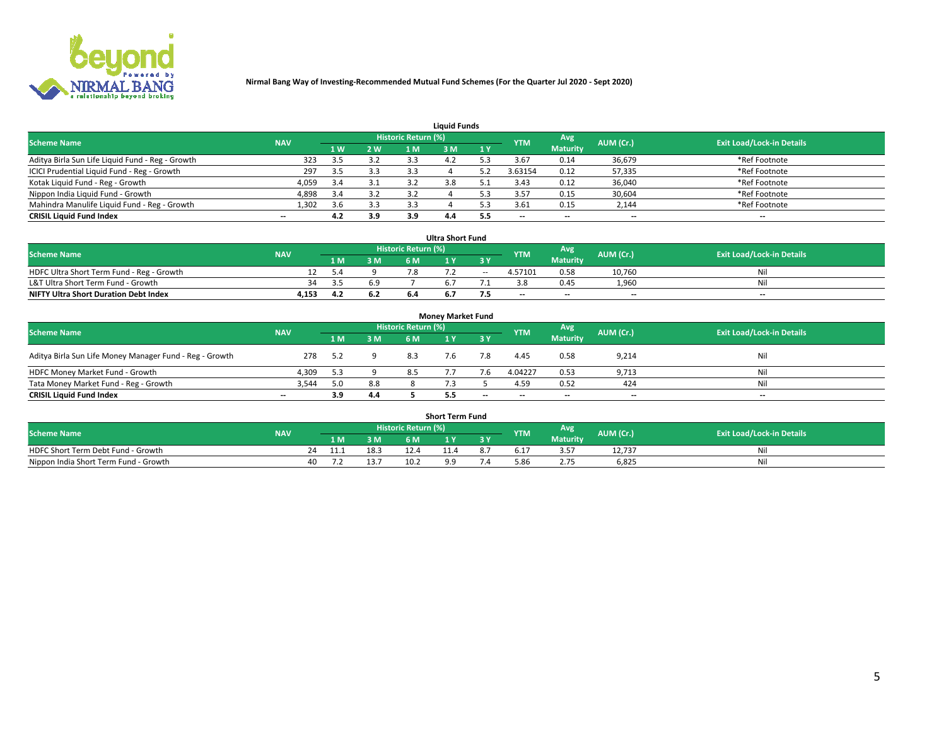

| <b>Liauid Funds</b>                              |            |     |     |                            |     |     |                          |                 |                          |                                  |  |  |  |  |
|--------------------------------------------------|------------|-----|-----|----------------------------|-----|-----|--------------------------|-----------------|--------------------------|----------------------------------|--|--|--|--|
| <b>Scheme Name</b>                               | <b>NAV</b> |     |     | <b>Historic Return (%)</b> |     |     | <b>YTM</b>               | Avg             | AUM (Cr.)                | <b>Exit Load/Lock-in Details</b> |  |  |  |  |
|                                                  |            | 1 W | 2 W | 1 M                        | ዩ M | 1Y  |                          | <b>Maturity</b> |                          |                                  |  |  |  |  |
| Aditya Birla Sun Life Liquid Fund - Reg - Growth | 323        | 3.5 | 3.2 | 3.3                        |     |     | 3.67                     | 0.14            | 36,679                   | *Ref Footnote                    |  |  |  |  |
| ICICI Prudential Liquid Fund - Reg - Growth      | 297        | 3.5 | 3.3 | 3.3                        |     |     | 3.63154                  | 0.12            | 57,335                   | *Ref Footnote                    |  |  |  |  |
| Kotak Liquid Fund - Reg - Growth                 | 4,059      | 3.4 | 3.1 |                            |     |     | 3.43                     | 0.12            | 36,040                   | *Ref Footnote                    |  |  |  |  |
| Nippon India Liquid Fund - Growth                | 4,898      | 3.4 | 3.2 | 3.2                        |     |     | 3.57                     | 0.15            | 30,604                   | *Ref Footnote                    |  |  |  |  |
| Mahindra Manulife Liquid Fund - Reg - Growth     | 1,302      | 3.6 | 3.3 | 3.3                        |     |     | 3.61                     | 0.15            | 2,144                    | *Ref Footnote                    |  |  |  |  |
| <b>CRISIL Liquid Fund Index</b>                  | $- -$      | 4.2 | 3.9 | 3.9                        | 4.4 | 5.5 | $\overline{\phantom{a}}$ | $- -$           | $\overline{\phantom{a}}$ | $\overline{\phantom{m}}$         |  |  |  |  |

| <b>Ultra Short Fund</b>                      |            |      |     |                            |     |        |            |                 |                          |                                  |  |  |  |  |
|----------------------------------------------|------------|------|-----|----------------------------|-----|--------|------------|-----------------|--------------------------|----------------------------------|--|--|--|--|
| <b>Scheme Name</b>                           | <b>NAV</b> |      |     | <b>Historic Return (%)</b> |     |        | <b>YTM</b> | <b>Avg</b>      | AUM (Cr.)                | <b>Exit Load/Lock-in Details</b> |  |  |  |  |
|                                              |            | 1 M. | 3 M | 6 M                        |     | 3 Y    |            | <b>Maturity</b> |                          |                                  |  |  |  |  |
| HDFC Ultra Short Term Fund - Reg - Growth    |            | 5.4  |     |                            |     | $\sim$ | 4.57101    | 0.58            | 10.760                   | Nil                              |  |  |  |  |
| L&T Ultra Short Term Fund - Growth           | 34         | -25  | 6.9 |                            |     |        |            | 0.45            | 1.960                    | Nil                              |  |  |  |  |
| <b>NIFTY Ultra Short Duration Debt Index</b> | 4,153      | 4.2  | 6.2 |                            | b.7 |        | $-$        | $- -$           | $\overline{\phantom{a}}$ | $- -$                            |  |  |  |  |

| <b>Monev Market Fund</b>                                |            |     |     |                     |     |                          |                          |                 |                          |                                  |  |  |  |  |
|---------------------------------------------------------|------------|-----|-----|---------------------|-----|--------------------------|--------------------------|-----------------|--------------------------|----------------------------------|--|--|--|--|
| <b>Scheme Name</b>                                      | <b>NAV</b> |     |     | Historic Return (%) |     |                          | <b>YTM</b>               | 'Avg            | AUM (Cr.)                | <b>Exit Load/Lock-in Details</b> |  |  |  |  |
|                                                         |            | 1 M | 3 M | 6 M                 |     | 3 Y                      |                          | <b>Maturity</b> |                          |                                  |  |  |  |  |
| Aditya Birla Sun Life Money Manager Fund - Reg - Growth | 278        | 5.2 |     | 8.3                 |     |                          | 4.45                     | 0.58            | 9,214                    | Nil                              |  |  |  |  |
| HDFC Money Market Fund - Growth                         | 4,309      | 5.3 |     |                     |     |                          | 4.04227                  | 0.53            | 9,713                    | Nil                              |  |  |  |  |
| Tata Money Market Fund - Reg - Growth                   | 3,544      | 5.0 | 8.8 |                     |     |                          | 4.59                     | 0.52            | 424                      | Nil                              |  |  |  |  |
| <b>CRISIL Liquid Fund Index</b>                         | $- -$      | 3.9 | 4.4 |                     | 5.5 | $\overline{\phantom{a}}$ | $\overline{\phantom{a}}$ | $-$             | $\overline{\phantom{a}}$ | $\overline{\phantom{a}}$         |  |  |  |  |

|                                       |            |       |      |                     | <b>Short Term Fund</b> |    |      |                 |           |                                  |
|---------------------------------------|------------|-------|------|---------------------|------------------------|----|------|-----------------|-----------|----------------------------------|
| <b>Scheme Name</b>                    | <b>NAV</b> |       |      | Historic Return (%) |                        |    | YTM  | Avg             | AUM (Cr.) | <b>Exit Load/Lock-in Details</b> |
|                                       |            | 1 M . | 3 M  | 6 M                 | l M                    | 2V |      | <b>Maturity</b> |           |                                  |
| HDFC Short Term Debt Fund - Growth    |            |       | 18.3 |                     | 1.4                    |    | .17د | - --            | 12,737    | M                                |
| Nippon India Short Term Fund - Growth | 40         |       |      | 10.2                |                        |    | 5.86 |                 | 6,825     | N                                |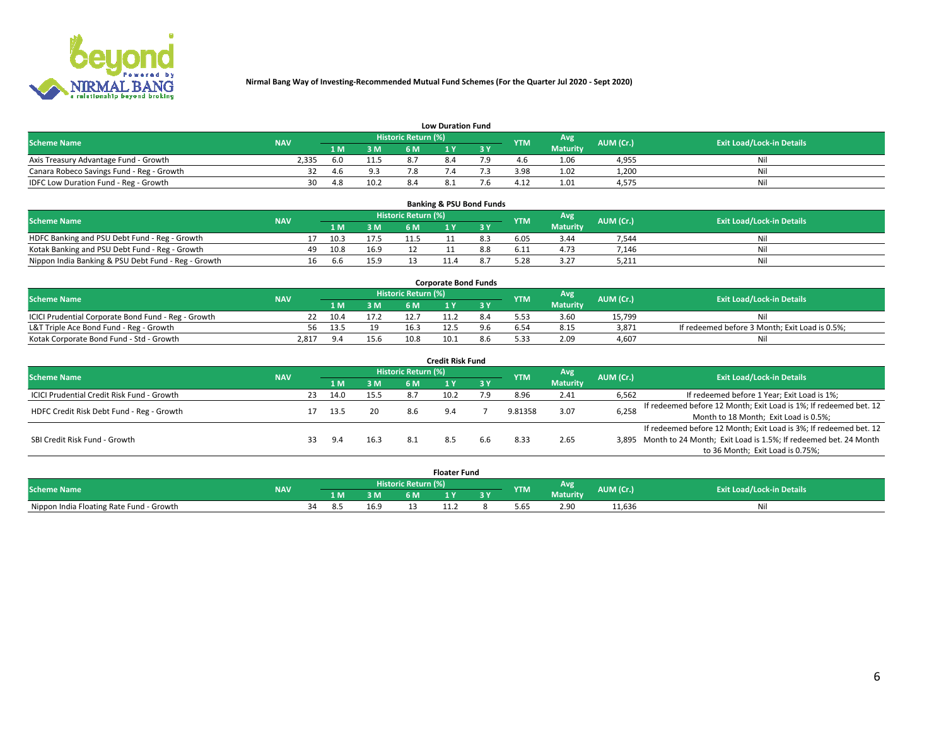

|                                           | <b>Low Duration Fund</b> |     |                |                            |  |  |            |                 |           |                                  |  |  |  |  |  |
|-------------------------------------------|--------------------------|-----|----------------|----------------------------|--|--|------------|-----------------|-----------|----------------------------------|--|--|--|--|--|
| <b>Scheme Name</b>                        | <b>NAV</b>               |     |                | <b>Historic Return (%)</b> |  |  | <b>YTM</b> | Avg             | AUM (Cr.) | <b>Exit Load/Lock-in Details</b> |  |  |  |  |  |
|                                           |                          | 1 M | 3 M            |                            |  |  |            | <b>Maturity</b> |           |                                  |  |  |  |  |  |
| Axis Treasury Advantage Fund - Growth     | 2,335                    | 6.0 |                |                            |  |  |            | 1.06            | 4,955     | Nil                              |  |  |  |  |  |
| Canara Robeco Savings Fund - Reg - Growth |                          | 4.6 | Q <sub>2</sub> |                            |  |  | 3.98       | 1.02            | 1,200     | Nil                              |  |  |  |  |  |
| IDFC Low Duration Fund - Reg - Growth     | 30                       | 4.8 | 10.2           | 8.4                        |  |  | 4.12       | 1.01            | 4,575     | Nil                              |  |  |  |  |  |

| <b>Banking &amp; PSU Bond Funds</b>                 |                                  |    |      |      |      |  |     |            |                 |           |    |  |  |  |
|-----------------------------------------------------|----------------------------------|----|------|------|------|--|-----|------------|-----------------|-----------|----|--|--|--|
| <b>Scheme Name</b>                                  | <b>Exit Load/Lock-in Details</b> |    |      |      |      |  |     |            |                 |           |    |  |  |  |
|                                                     | <b>NAV</b>                       |    | 1 M. | 3 M  | 6 M  |  | 3 Y | <b>YTM</b> | <b>Maturity</b> | AUM (Cr.) |    |  |  |  |
| HDFC Banking and PSU Debt Fund - Reg - Growth       |                                  |    | 10.3 | 17.5 | 11.5 |  | 8.3 | 6.05       | 3.44            | 7.544     | Ni |  |  |  |
| Kotak Banking and PSU Debt Fund - Reg - Growth      |                                  | 49 | 10.8 | 16.9 |      |  |     | 6.11       | 4.73            | 7.146     | Ni |  |  |  |
| Nippon India Banking & PSU Debt Fund - Reg - Growth |                                  | 16 | 6.6  | 15.9 |      |  |     |            | 3.27            | 5,211     | Ni |  |  |  |

| <b>Corporate Bond Funds</b>                         |            |      |      |                            |      |  |            |                 |           |                                                |  |  |  |  |
|-----------------------------------------------------|------------|------|------|----------------------------|------|--|------------|-----------------|-----------|------------------------------------------------|--|--|--|--|
| <b>Scheme Name</b>                                  | <b>NAV</b> |      |      | <b>Historic Return (%)</b> |      |  | <b>YTM</b> | Avg             | AUM (Cr.) | <b>Exit Load/Lock-in Details</b>               |  |  |  |  |
|                                                     |            | 4 M. | 3 M  | 6 M                        |      |  |            | <b>Maturity</b> |           |                                                |  |  |  |  |
| ICICI Prudential Corporate Bond Fund - Reg - Growth |            | 10.4 |      |                            |      |  |            | 3.60            | 15.799    |                                                |  |  |  |  |
| L&T Triple Ace Bond Fund - Reg - Growth             | 56.        | 13.5 | 10   | 16.3                       |      |  |            | 8.15            | 3,871     | If redeemed before 3 Month; Exit Load is 0.5%; |  |  |  |  |
| Kotak Corporate Bond Fund - Std - Growth            | 2.817      | 9.4  | 15.6 | 10.8                       | 10.1 |  | 5.33       | 2.09            | 4,607     | Nil                                            |  |  |  |  |

| <b>Credit Risk Fund</b>                    |            |    |      |      |                            |      |           |            |                 |           |                                                                       |  |  |  |
|--------------------------------------------|------------|----|------|------|----------------------------|------|-----------|------------|-----------------|-----------|-----------------------------------------------------------------------|--|--|--|
| <b>Scheme Name</b>                         | <b>NAV</b> |    |      |      | <b>Historic Return (%)</b> |      |           | <b>YTM</b> | Avg             | AUM (Cr.) | <b>Exit Load/Lock-in Details</b>                                      |  |  |  |
|                                            |            |    | 1 M  | 3 M  | 6 M                        |      | <b>3Y</b> |            | <b>Maturity</b> |           |                                                                       |  |  |  |
| ICICI Prudential Credit Risk Fund - Growth |            | 23 | 14.0 | 15.5 | 8.7                        | 10.2 | 7.9       | 8.96       | 2.41            | 6,562     | If redeemed before 1 Year; Exit Load is 1%;                           |  |  |  |
| HDFC Credit Risk Debt Fund - Reg - Growth  |            |    | 13.5 | 20   | 8.6                        | 9.4  |           | 9.81358    | 3.07            | 6,258     | If redeemed before 12 Month; Exit Load is 1%; If redeemed bet. 12     |  |  |  |
|                                            |            |    |      |      |                            |      |           |            |                 |           | Month to 18 Month; Exit Load is 0.5%;                                 |  |  |  |
|                                            |            |    |      |      |                            |      |           |            |                 |           | If redeemed before 12 Month; Exit Load is 3%; If redeemed bet. 12     |  |  |  |
| SBI Credit Risk Fund - Growth              |            |    | 9.4  | 16.3 | 8.1                        |      | 6.6       | 8.33       | 2.65            |           | 3,895 Month to 24 Month; Exit Load is 1.5%; If redeemed bet. 24 Month |  |  |  |
|                                            |            |    |      |      |                            |      |           |            |                 |           | to 36 Month; Exit Load is 0.75%;                                      |  |  |  |

| <b>Floater Fund</b>                      |            |                            |        |      |      |         |     |            |                 |           |                                  |
|------------------------------------------|------------|----------------------------|--------|------|------|---------|-----|------------|-----------------|-----------|----------------------------------|
| <b>Scheme Name</b>                       | <b>NAV</b> | <b>Historic Return (%)</b> |        |      |      |         |     | <b>YTM</b> | Avg             | AUM (Cr.) | <b>Exit Load/Lock-in Details</b> |
|                                          |            |                            | 1 M    | 3 M  | 6 M' | i v     | י כ |            | <b>Maturity</b> |           |                                  |
| Nippon India Floating Rate Fund - Growth |            | ≺⊿                         | . 8. C | 16.9 |      | <b></b> |     | 5.65       | 2.90            | 11,636    | Νı                               |